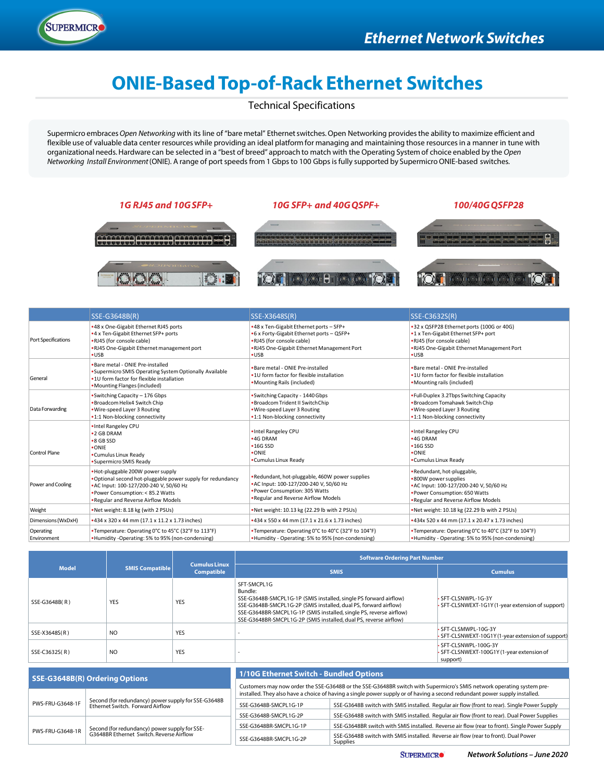

# **ONIE-Based Top-of-Rack Ethernet Switches**

Technical Specifications

Supermicro embraces *Open Networking* with its line of "bare metal" Ethernet switches. Open Networking provides the ability to maximize efficient and flexible use of valuable data center resources while providing an ideal platform for managing and maintaining those resources in a manner in tune with organizational needs. Hardware can be selected in a "best of breed" approach to match with the Operating System of choice enabled by the *Open Networking Install Environment* (ONIE). A range of port speeds from 1 Gbps to 100 Gbps is fully supported by Supermicro ONIE-based switches.



|                            | SSE-G3648B(R)                                                                                                                                                                                                           | SSE-X3648S(R)                                                                                                                                                                  | SSE-C3632S(R)                                                                                                                                                              |
|----------------------------|-------------------------------------------------------------------------------------------------------------------------------------------------------------------------------------------------------------------------|--------------------------------------------------------------------------------------------------------------------------------------------------------------------------------|----------------------------------------------------------------------------------------------------------------------------------------------------------------------------|
| <b>Port Specifications</b> | .48 x One-Gigabit Ethernet RJ45 ports<br>.4 x Ten-Gigabit Ethernet SFP+ ports<br>.RJ45 (for console cable)<br>.RJ45 One-Gigabit Ethernet management port<br>$\cdot$ USB                                                 | •48 x Ten-Gigabit Ethernet ports - SFP+<br>.6 x Forty-Gigabit Ethernet ports - QSFP+<br>.RJ45 (for console cable)<br>.RJ45 One-Gigabit Ethernet Management Port<br>$\cdot$ USB | .32 x QSFP28 Ethernet ports (100G or 40G)<br>.1 x Ten-Gigabit Ethernet SFP+ port<br>.RJ45 (for console cable)<br>.RJ45 One-Gigabit Ethernet Management Port<br>$\cdot$ USB |
| General                    | . Bare metal - ONIE Pre-installed<br>. Supermicro SMIS Operating System Optionally Available<br>.1U form factor for flexible installation<br>•Mounting Flanges (included)                                               | . Bare metal - ONIE Pre-installed<br>.1U form factor for flexible installation<br>• Mounting Rails (included)                                                                  | . Bare metal - ONIE Pre-installed<br>.10 form factor for flexible installation<br>•Mounting rails (included)                                                               |
| Data Forwarding            | •Switching Capacity - 176 Gbps<br>. Broadcom Helix4 Switch Chip<br>.Wire-speed Layer 3 Routing<br>.1:1 Non-blocking connectivity                                                                                        | •Switching Capacity - 1440 Gbps<br>. Broadcom Trident II Switch Chip<br>. Wire-speed Layer 3 Routing<br>.1:1 Non-blocking connectivity                                         | . Full-Duplex 3.2Tbps Switching Capacity<br>. Broadcom Tomahawk Switch Chip<br>. Wire-speed Layer 3 Routing<br>.1:1 Non-blocking connectivity                              |
| Control Plane              | . Intel Rangeley CPU<br>•2 GB DRAM<br>•8 GB SSD<br>$•$ ONIE<br>•Cumulus Linux Ready<br>•Supermicro SMIS Ready                                                                                                           | . Intel Rangeley CPU<br>•4G DRAM<br>$•16G$ SSD<br>$•$ ONIE<br>•Cumulus Linux Ready                                                                                             | . Intel Rangeley CPU<br>$•4G$ DRAM<br>$•16G$ SSD<br>$\bullet$ ONIE<br>•Cumulus Linux Ready                                                                                 |
| Power and Cooling          | . Hot-pluggable 200W power supply<br>. Optional second hot-pluggable power supply for redundancy<br>•AC Input: 100-127/200-240 V, 50/60 Hz<br>. Power Consumption: < 85.2 Watts<br>. Regular and Reverse Airflow Models | . Redundant, hot-pluggable, 460W power supplies<br>•AC Input: 100-127/200-240 V, 50/60 Hz<br>•Power Consumption: 305 Watts<br>. Regular and Reverse Airflow Models             | •Redundant, hot-pluggable,<br>.800W power supplies<br>• AC Input: 100-127/200-240 V, 50/60 Hz<br>• Power Consumption: 650 Watts<br>. Regular and Reverse Airflow Models    |
| Weight                     | .Net weight: 8.18 kg (with 2 PSUs)                                                                                                                                                                                      | . Net weight: 10.13 kg (22.29 lb with 2 PSUs)                                                                                                                                  | . Net weight: 10.18 kg (22.29 lb with 2 PSUs)                                                                                                                              |
| Dimensions (WxDxH)         | *434 x 320 x 44 mm (17.1 x 11.2 x 1.73 inches)                                                                                                                                                                          | *434 x 550 x 44 mm (17.1 x 21.6 x 1.73 inches)                                                                                                                                 | •434x 520 x 44 mm (17.1 x 20.47 x 1.73 inches)                                                                                                                             |
| Operating<br>Environment   | •Temperature: Operating 0°C to 45°C (32°F to 113°F)<br>•Humidity -Operating: 5% to 95% (non-condensing)                                                                                                                 | •Temperature: Operating 0°C to 40°C (32°F to 104°F)<br>•Humidity - Operating: 5% to 95% (non-condensing)                                                                       | •Temperature: Operating 0°C to 40°C (32°F to 104°F)<br>•Humidity - Operating: 5% to 95% (non-condensing)                                                                   |

|               |                        | <b>Cumulus Linux</b><br><b>Compatible</b> | <b>Software Ordering Part Number</b>                                                                                                                                                                                                                                                                        |                                                                             |
|---------------|------------------------|-------------------------------------------|-------------------------------------------------------------------------------------------------------------------------------------------------------------------------------------------------------------------------------------------------------------------------------------------------------------|-----------------------------------------------------------------------------|
| <b>Model</b>  | <b>SMIS Compatible</b> |                                           | <b>SMIS</b>                                                                                                                                                                                                                                                                                                 | <b>Cumulus</b>                                                              |
| SSE-G3648B(R) | <b>YES</b>             | <b>YES</b>                                | SFT-SMCPL1G<br>Bundle:<br>SSE-G3648B-SMCPL1G-1P (SMIS installed, single PS forward airflow)<br>SSE-G3648B-SMCPL1G-2P (SMIS installed, dual PS, forward airflow)<br>SSE-G3648BR-SMCPL1G-1P (SMIS installed, single PS, reverse airflow)<br>SSE-G3648BR-SMCPL1G-2P (SMIS installed, dual PS, reverse airflow) | SFT-CLSNWPL-1G-3Y<br>SFT-CLSNWEXT-1G1Y (1-year extension of support)        |
| SSE-X3648S(R) | N <sub>O</sub>         | <b>YES</b>                                |                                                                                                                                                                                                                                                                                                             | SFT-CLSMWPL-10G-3Y<br>• SFT-CLSNWEXT-10G1Y (1-year extension of support)    |
| SSE-C3632S(R) | N <sub>O</sub>         | <b>YES</b>                                |                                                                                                                                                                                                                                                                                                             | SFT-CLSNWPL-100G-3Y<br>SFT-CLSNWEXT-100G1Y (1-year extension of<br>support) |

| SSE-G3648B(R) Ordering Options                                                                                                                                                                                               |  | <b>1/10G Ethernet Switch - Bundled Options</b>                                                                             |                                                                                                 |
|------------------------------------------------------------------------------------------------------------------------------------------------------------------------------------------------------------------------------|--|----------------------------------------------------------------------------------------------------------------------------|-------------------------------------------------------------------------------------------------|
|                                                                                                                                                                                                                              |  | Customers may now order the SSE-G3648B or the SSE-G3648BR switch with Supermicro's SMIS network operating system pre-      |                                                                                                 |
| Second (for redundancy) power supply for SSE-G3648B<br>Ethernet Switch. Forward Airflow<br>PWS-FRU-G3648-1F<br>Second (for redundancy) power supply for SSE-<br>G3648BR Ethernet Switch. Reverse Airflow<br>PWS-FRU-G3648-1R |  | installed. They also have a choice of having a single power supply or of having a second redundant power supply installed. |                                                                                                 |
|                                                                                                                                                                                                                              |  | SSE-G3648B-SMCPL1G-1P                                                                                                      | SSE-G3648B switch with SMIS installed. Regular air flow (front to rear). Single Power Supply    |
|                                                                                                                                                                                                                              |  | SSE-G3648B-SMCPL1G-2P                                                                                                      | SSE-G3648B switch with SMIS installed. Regular air flow (front to rear). Dual Power Supplies    |
|                                                                                                                                                                                                                              |  | SSE-G3648BR-SMCPL1G-1P                                                                                                     | SSE-G3648BR switch with SMIS installed. Reverse air flow (rear to front). Single Power Supply   |
|                                                                                                                                                                                                                              |  | SSE-G3648BR-SMCPL1G-2P                                                                                                     | SSE-G3648B switch with SMIS installed. Reverse air flow (rear to front). Dual Power<br>Supplies |